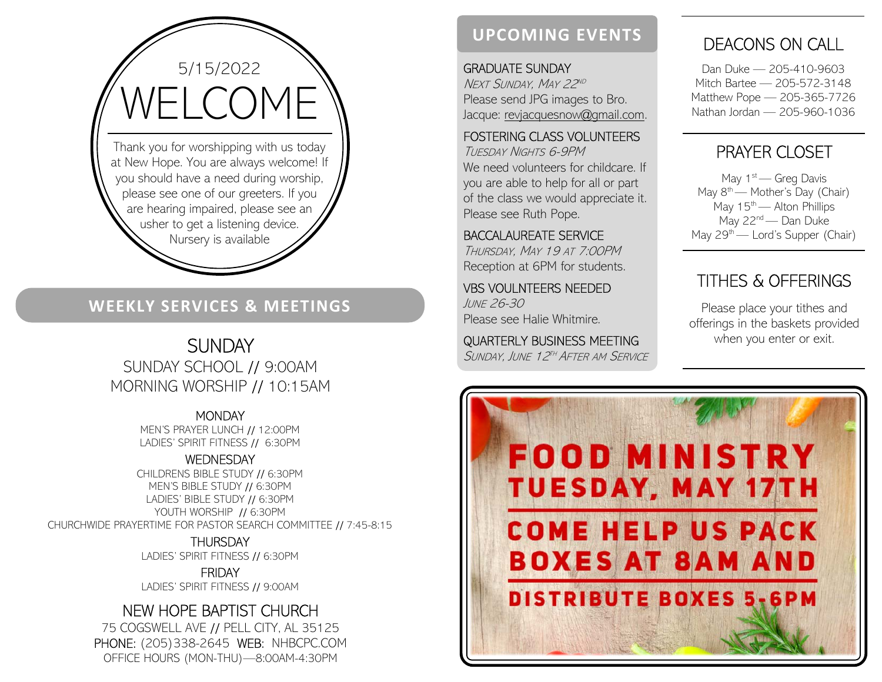

5/15/2022

### WEEKLY SERVICES & MEETINGS

# **SUNDAY**

SUNDAY SCHOOL // 9:00AM MORNING WORSHIP // 10:15AM

> **MONDAY** MEN'S PRAYER LUNCH // 12:00PM LADIES' SPIRIT FITNESS // 6:30PM

#### **WEDNESDAY**

CHILDRENS BIBLE STUDY // 6:30PM MEN'S BIBLE STUDY // 6:30PM LADIES' BIBLE STUDY // 6:30PM YOUTH WORSHIP // 6:30PM CHURCHWIDE PRAYERTIME FOR PASTOR SEARCH COMMITTEE // 7:45-8:15

> **THURSDAY** LADIES' SPIRIT FITNESS // 6:30PM

FRIDAY LADIES' SPIRIT FITNESS // 9:00AM

### NEW HOPE BAPTIST CHURCH

75 COGSWELL AVE // PELL CITY, AL 35125 PHONE: (205)338-2645 WEB: NHBCPC.COM OFFICE HOURS (MON-THU)—8:00AM-4:30PM

## UPCOMING EVENTS

GRADUATE SUNDAY Next Sunday, May 22<sup>nd</sup> . Please send JPG images to Bro. Jacque: revjacquesnow@gmail.com.

#### FOSTERING CLASS VOLUNTEERS

TUESDAY NIGHTS 6-9PM We need volunteers for childcare. If you are able to help for all or part of the class we would appreciate it. Please see Ruth Pope.

BACCALAUREATE SERVICE THURSDAY, MAY 19 AT 7:00PM Reception at 6PM for students.

VBS VOULNTEERS NEEDED JUNE 26-30 Please see Halie Whitmire.

QUARTERLY BUSINESS MEETING SUNDAY, JUNE 12<sup>th</sup> After am Service

## DEACONS ON CALL

Dan Duke — 205-410-9603 Mitch Bartee — 205-572-3148 Matthew Pope — 205-365-7726 Nathan Jordan — 205-960-1036

## PRAYER CLOSET

May  $1<sup>st</sup>$  — Greg Davis May  $8<sup>th</sup>$  — Mother's Day (Chair) May  $15^{th}$  — Alton Phillips May 22<sup>nd</sup> — Dan Duke May  $29<sup>th</sup>$  — Lord's Supper (Chair)

# TITHES & OFFERINGS

Please place your tithes and offerings in the baskets provided when you enter or exit.